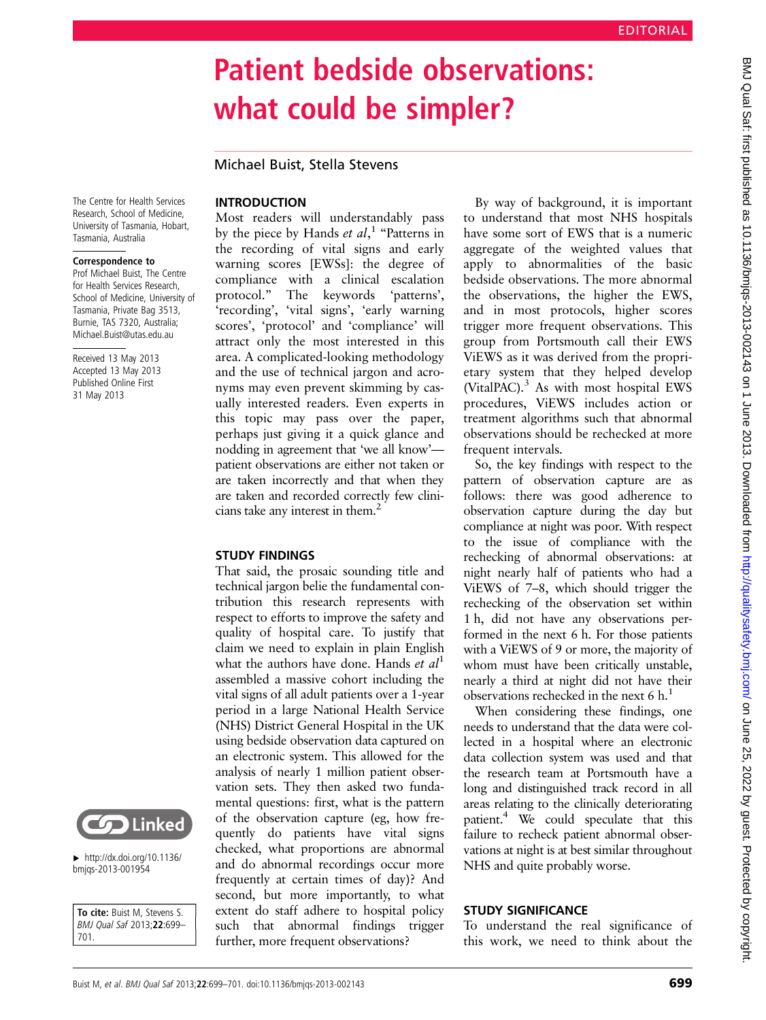# Patient bedside observations: what could be simpler?

# Michael Buist, Stella Stevens

**INTRODUCTION** 

The Centre for Health Services Research, School of Medicine, University of Tasmania, Hobart, Tasmania, Australia

#### Correspondence to

Prof Michael Buist, The Centre for Health Services Research, School of Medicine, University of Tasmania, Private Bag 3513, Burnie, TAS 7320, Australia; Michael.Buist@utas.edu.au

Received 13 May 2013 Accepted 13 May 2013 Published Online First 31 May 2013



 $\blacktriangleright$  [http://dx.doi.org/10.1136/](http://dx.doi.org/10.1136/bmjqs-2013-001954) [bmjqs-2013-001954](http://dx.doi.org/10.1136/bmjqs-2013-001954)

To cite: Buist M, Stevens S. BMJ Qual Saf 2013;22:699– 701.

Most readers will understandably pass by the piece by Hands et al,<sup>1</sup> "Patterns in the recording of vital signs and early warning scores [EWSs]: the degree of compliance with a clinical escalation protocol." The keywords 'patterns', 'recording', 'vital signs', 'early warning scores', 'protocol' and 'compliance' will attract only the most interested in this area. A complicated-looking methodology and the use of technical jargon and acronyms may even prevent skimming by casually interested readers. Even experts in this topic may pass over the paper, perhaps just giving it a quick glance and nodding in agreement that 'we all know' patient observations are either not taken or are taken incorrectly and that when they are taken and recorded correctly few clinicians take any interest in them.2

### STUDY FINDINGS

That said, the prosaic sounding title and technical jargon belie the fundamental contribution this research represents with respect to efforts to improve the safety and quality of hospital care. To justify that claim we need to explain in plain English what the authors have done. Hands et  $al<sup>1</sup>$ assembled a massive cohort including the vital signs of all adult patients over a 1-year period in a large National Health Service (NHS) District General Hospital in the UK using bedside observation data captured on an electronic system. This allowed for the analysis of nearly 1 million patient observation sets. They then asked two fundamental questions: first, what is the pattern of the observation capture (eg, how frequently do patients have vital signs checked, what proportions are abnormal and do abnormal recordings occur more frequently at certain times of day)? And second, but more importantly, to what extent do staff adhere to hospital policy such that abnormal findings trigger further, more frequent observations?

By way of background, it is important to understand that most NHS hospitals have some sort of EWS that is a numeric aggregate of the weighted values that apply to abnormalities of the basic bedside observations. The more abnormal the observations, the higher the EWS, and in most protocols, higher scores trigger more frequent observations. This group from Portsmouth call their EWS ViEWS as it was derived from the proprietary system that they helped develop (VitalPAC).<sup>3</sup> As with most hospital EWS procedures, ViEWS includes action or treatment algorithms such that abnormal observations should be rechecked at more frequent intervals.

So, the key findings with respect to the pattern of observation capture are as follows: there was good adherence to observation capture during the day but compliance at night was poor. With respect to the issue of compliance with the rechecking of abnormal observations: at night nearly half of patients who had a ViEWS of 7–8, which should trigger the rechecking of the observation set within 1 h, did not have any observations performed in the next 6 h. For those patients with a ViEWS of 9 or more, the majority of whom must have been critically unstable, nearly a third at night did not have their observations rechecked in the next 6 h.<sup>1</sup>

When considering these findings, one needs to understand that the data were collected in a hospital where an electronic data collection system was used and that the research team at Portsmouth have a long and distinguished track record in all areas relating to the clinically deteriorating patient.4 We could speculate that this failure to recheck patient abnormal observations at night is at best similar throughout NHS and quite probably worse.

# STUDY SIGNIFICANCE

To understand the real significance of this work, we need to think about the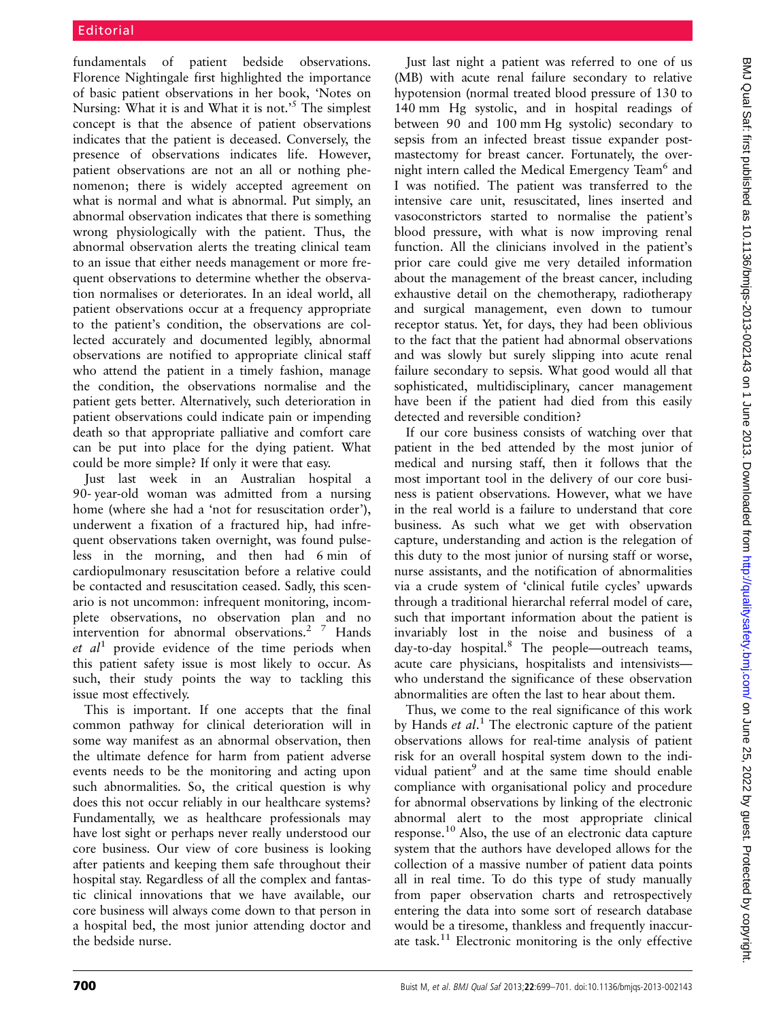fundamentals of patient bedside observations. Florence Nightingale first highlighted the importance of basic patient observations in her book, 'Notes on Nursing: What it is and What it is not.'<sup>5</sup> The simplest concept is that the absence of patient observations indicates that the patient is deceased. Conversely, the presence of observations indicates life. However, patient observations are not an all or nothing phenomenon; there is widely accepted agreement on what is normal and what is abnormal. Put simply, an abnormal observation indicates that there is something wrong physiologically with the patient. Thus, the abnormal observation alerts the treating clinical team to an issue that either needs management or more frequent observations to determine whether the observation normalises or deteriorates. In an ideal world, all patient observations occur at a frequency appropriate to the patient's condition, the observations are collected accurately and documented legibly, abnormal observations are notified to appropriate clinical staff who attend the patient in a timely fashion, manage the condition, the observations normalise and the patient gets better. Alternatively, such deterioration in patient observations could indicate pain or impending death so that appropriate palliative and comfort care can be put into place for the dying patient. What could be more simple? If only it were that easy.

Just last week in an Australian hospital a 90- year-old woman was admitted from a nursing home (where she had a 'not for resuscitation order'), underwent a fixation of a fractured hip, had infrequent observations taken overnight, was found pulseless in the morning, and then had 6 min of cardiopulmonary resuscitation before a relative could be contacted and resuscitation ceased. Sadly, this scenario is not uncommon: infrequent monitoring, incomplete observations, no observation plan and no intervention for abnormal observations.<sup>2</sup> <sup>7</sup> Hands et  $al<sup>1</sup>$  provide evidence of the time periods when this patient safety issue is most likely to occur. As such, their study points the way to tackling this issue most effectively.

This is important. If one accepts that the final common pathway for clinical deterioration will in some way manifest as an abnormal observation, then the ultimate defence for harm from patient adverse events needs to be the monitoring and acting upon such abnormalities. So, the critical question is why does this not occur reliably in our healthcare systems? Fundamentally, we as healthcare professionals may have lost sight or perhaps never really understood our core business. Our view of core business is looking after patients and keeping them safe throughout their hospital stay. Regardless of all the complex and fantastic clinical innovations that we have available, our core business will always come down to that person in a hospital bed, the most junior attending doctor and the bedside nurse.

Just last night a patient was referred to one of us (MB) with acute renal failure secondary to relative hypotension (normal treated blood pressure of 130 to 140 mm Hg systolic, and in hospital readings of between 90 and 100 mm Hg systolic) secondary to sepsis from an infected breast tissue expander postmastectomy for breast cancer. Fortunately, the overnight intern called the Medical Emergency Team<sup>6</sup> and I was notified. The patient was transferred to the intensive care unit, resuscitated, lines inserted and vasoconstrictors started to normalise the patient's blood pressure, with what is now improving renal function. All the clinicians involved in the patient's prior care could give me very detailed information about the management of the breast cancer, including exhaustive detail on the chemotherapy, radiotherapy and surgical management, even down to tumour receptor status. Yet, for days, they had been oblivious to the fact that the patient had abnormal observations and was slowly but surely slipping into acute renal failure secondary to sepsis. What good would all that sophisticated, multidisciplinary, cancer management have been if the patient had died from this easily detected and reversible condition?

If our core business consists of watching over that patient in the bed attended by the most junior of medical and nursing staff, then it follows that the most important tool in the delivery of our core business is patient observations. However, what we have in the real world is a failure to understand that core business. As such what we get with observation capture, understanding and action is the relegation of this duty to the most junior of nursing staff or worse, nurse assistants, and the notification of abnormalities via a crude system of 'clinical futile cycles' upwards through a traditional hierarchal referral model of care, such that important information about the patient is invariably lost in the noise and business of a day-to-day hospital. $8$  The people—outreach teams, acute care physicians, hospitalists and intensivists who understand the significance of these observation abnormalities are often the last to hear about them.

Thus, we come to the real significance of this work by Hands et al.<sup>1</sup> The electronic capture of the patient observations allows for real-time analysis of patient risk for an overall hospital system down to the individual patient<sup>9</sup> and at the same time should enable compliance with organisational policy and procedure for abnormal observations by linking of the electronic abnormal alert to the most appropriate clinical response.<sup>10</sup> Also, the use of an electronic data capture system that the authors have developed allows for the collection of a massive number of patient data points all in real time. To do this type of study manually from paper observation charts and retrospectively entering the data into some sort of research database would be a tiresome, thankless and frequently inaccurate task.<sup>11</sup> Electronic monitoring is the only effective